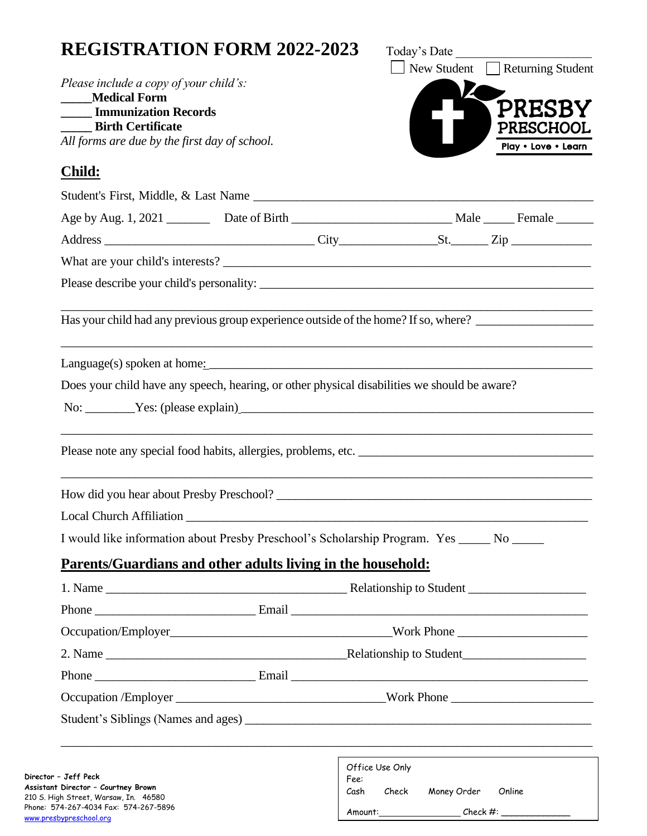# **REGISTRATION FORM 2022-2023** Today's Date

|                                                             | Please include a copy of your child's:                                                       | New Student Returning Student                    |                     |
|-------------------------------------------------------------|----------------------------------------------------------------------------------------------|--------------------------------------------------|---------------------|
| <b>Medical Form</b>                                         |                                                                                              |                                                  | <b>PRESB</b>        |
| <b>Immunization Records</b><br><b>Birth Certificate</b>     |                                                                                              |                                                  | PRESCHOOL           |
| All forms are due by the first day of school.               |                                                                                              |                                                  | Play . Love . Learn |
| <b>Child:</b>                                               |                                                                                              |                                                  |                     |
|                                                             |                                                                                              |                                                  |                     |
|                                                             |                                                                                              |                                                  |                     |
|                                                             |                                                                                              |                                                  |                     |
|                                                             |                                                                                              |                                                  |                     |
|                                                             |                                                                                              |                                                  |                     |
|                                                             | Has your child had any previous group experience outside of the home? If so, where?          |                                                  |                     |
|                                                             |                                                                                              |                                                  |                     |
|                                                             | Does your child have any speech, hearing, or other physical disabilities we should be aware? |                                                  |                     |
|                                                             | No: <u>Yes:</u> (please explain)                                                             |                                                  |                     |
|                                                             |                                                                                              |                                                  |                     |
|                                                             | ,我们也不能在这里的时候,我们也不能在这里的时候,我们也不能不能不能不能不能不能不能不能不能不能不能不能不能不能不能。""我们的是,我们也不能不能不能不能不能不能            |                                                  |                     |
|                                                             |                                                                                              |                                                  |                     |
|                                                             | How did you hear about Presby Preschool?                                                     |                                                  |                     |
|                                                             |                                                                                              |                                                  |                     |
|                                                             | I would like information about Presby Preschool's Scholarship Program. Yes _____ No _____    |                                                  |                     |
|                                                             | Parents/Guardians and other adults living in the household:                                  |                                                  |                     |
|                                                             |                                                                                              |                                                  |                     |
|                                                             |                                                                                              |                                                  |                     |
|                                                             |                                                                                              |                                                  |                     |
|                                                             |                                                                                              |                                                  |                     |
|                                                             |                                                                                              |                                                  |                     |
|                                                             |                                                                                              |                                                  |                     |
|                                                             |                                                                                              |                                                  |                     |
|                                                             |                                                                                              |                                                  |                     |
| Director - Jeff Peck<br>Assistant Director - Courtney Brown | Fee:                                                                                         | Office Use Only<br>Cash Check Money Order Online |                     |